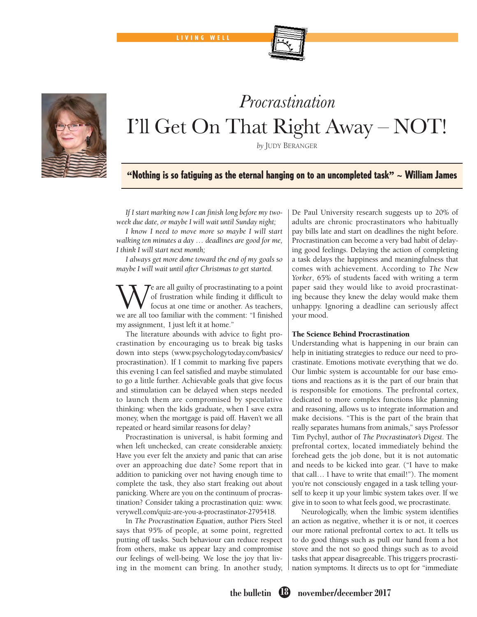# *Procrastination* I'll Get On That Right Away – NOT!

*by* JUDY BERANGER

## "Nothing is so fatiguing as the eternal hanging on to an uncompleted task"  $\sim$  William James

*If I start marking now I can finish long before my twoweek due date, or maybe I will wait until Sunday night;*

*I know I need to move more so maybe I will start walking ten minutes a day … deadlines are good for me, I think I will start next month;*

*I always get more done toward the end of my goals so maybe I will wait until after Christmas to get started.*

Te are all guilty of procrastinating to a point of frustration while finding it difficult to focus at one time or another. As teachers, we are all too familiar with the comment: "I finished my assignment, I just left it at home."

The literature abounds with advice to fight procrastination by encouraging us to break big tasks down into steps (www.psychologytoday.com/basics/ procrastination). If I commit to marking five papers this evening I can feel satisfied and maybe stimulated to go a little further. Achievable goals that give focus and stimulation can be delayed when steps needed to launch them are compromised by speculative thinking: when the kids graduate, when I save extra money, when the mortgage is paid off. Haven't we all repeated or heard similar reasons for delay?

Procrastination is universal, is habit forming and when left unchecked, can create considerable anxiety. Have you ever felt the anxiety and panic that can arise over an approaching due date? Some report that in addition to panicking over not having enough time to complete the task, they also start freaking out about panicking. Where are you on the continuum of procrastination? Consider taking a procrastination quiz: www. verywell.com/quiz-are-you-a-procrastinator-2795418.

In *The Procrastination Equation*, author Piers Steel says that 95% of people, at some point, regretted putting off tasks. Such behaviour can reduce respect from others, make us appear lazy and compromise our feelings of well-being. We lose the joy that living in the moment can bring. In another study, De Paul University research suggests up to 20% of adults are chronic procrastinators who habitually pay bills late and start on deadlines the night before. Procrastination can become a very bad habit of delaying good feelings. Delaying the action of completing a task delays the happiness and meaningfulness that comes with achievement. According to *The New Yorker*, 65% of students faced with writing a term paper said they would like to avoid procrastinating because they knew the delay would make them unhappy. Ignoring a deadline can seriously affect your mood.

### The Science Behind Procrastination

Understanding what is happening in our brain can help in initiating strategies to reduce our need to procrastinate. Emotions motivate everything that we do. Our limbic system is accountable for our base emotions and reactions as it is the part of our brain that is responsible for emotions. The prefrontal cortex, dedicated to more complex functions like planning and reasoning, allows us to integrate information and make decisions. "This is the part of the brain that really separates humans from animals," says Professor Tim Pychyl, author of *The Procrastinator's Digest*. The prefrontal cortex, located immediately behind the forehead gets the job done, but it is not automatic and needs to be kicked into gear. ("I have to make that call… I have to write that email!"). The moment you're not consciously engaged in a task telling yourself to keep it up your limbic system takes over. If we give in to soon to what feels good, we procrastinate.

Neurologically, when the limbic system identifies an action as negative, whether it is or not, it coerces our more rational prefrontal cortex to act. It tells us to do good things such as pull our hand from a hot stove and the not so good things such as to avoid tasks that appear disagreeable. This triggers procrastination symptoms. It directs us to opt for "immediate





LIVING WELL